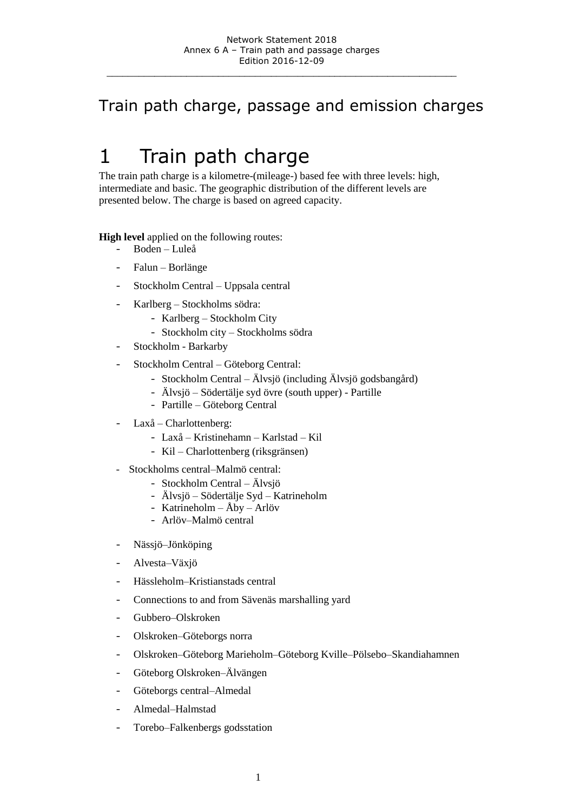### Train path charge, passage and emission charges

# 1 Train path charge

The train path charge is a kilometre-(mileage-) based fee with three levels: high, intermediate and basic. The geographic distribution of the different levels are presented below. The charge is based on agreed capacity.

**High level** applied on the following routes:

- Boden Luleå
- Falun Borlänge
- Stockholm Central Uppsala central
- Karlberg Stockholms södra:
	- Karlberg Stockholm City
	- Stockholm city Stockholms södra
- Stockholm Barkarby
- Stockholm Central Göteborg Central:
	- Stockholm Central Älvsjö (including Älvsjö godsbangård)
	- Älvsjö Södertälje syd övre (south upper) Partille
	- Partille Göteborg Central
- Laxå Charlottenberg:
	- Laxå Kristinehamn Karlstad Kil
	- Kil Charlottenberg (riksgränsen)
- Stockholms central–Malmö central:
	- Stockholm Central Älvsjö
	- Älvsjö Södertälje Syd Katrineholm
	- Katrineholm Åby Arlöv
	- Arlöv–Malmö central
- Nässjö–Jönköping
- Alvesta–Växjö
- Hässleholm–Kristianstads central
- Connections to and from Sävenäs marshalling yard
- Gubbero–Olskroken
- Olskroken–Göteborgs norra
- Olskroken–Göteborg Marieholm–Göteborg Kville–Pölsebo–Skandiahamnen
- Göteborg Olskroken–Älvängen
- Göteborgs central–Almedal
- Almedal–Halmstad
- Torebo–Falkenbergs godsstation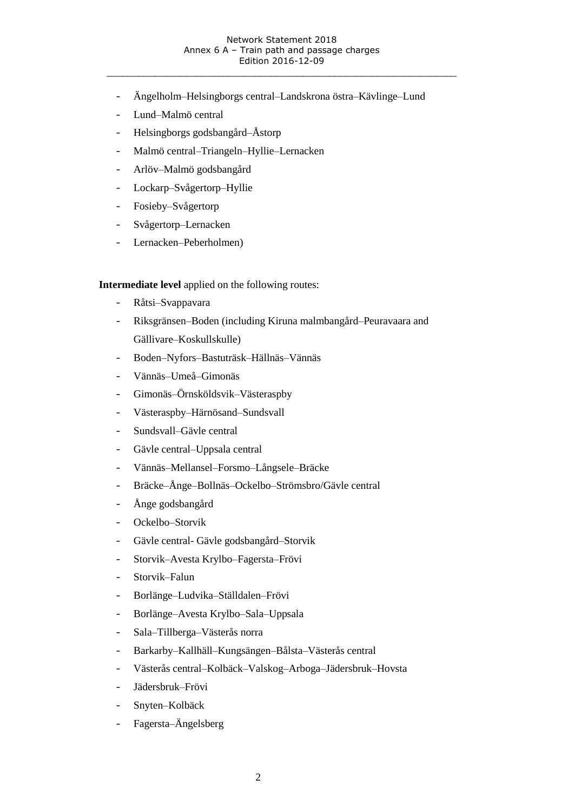- Ängelholm–Helsingborgs central–Landskrona östra–Kävlinge–Lund
- Lund–Malmö central
- Helsingborgs godsbangård–Åstorp
- Malmö central–Triangeln–Hyllie–Lernacken
- Arlöv–Malmö godsbangård
- Lockarp–Svågertorp–Hyllie
- Fosieby–Svågertorp
- Svågertorp–Lernacken
- Lernacken–Peberholmen)

**Intermediate level** applied on the following routes:

- Råtsi–Svappavara
- Riksgränsen–Boden (including Kiruna malmbangård–Peuravaara and Gällivare–Koskullskulle)
- Boden–Nyfors–Bastuträsk–Hällnäs–Vännäs
- Vännäs–Umeå–Gimonäs
- Gimonäs–Örnsköldsvik–Västeraspby
- Västeraspby–Härnösand–Sundsvall
- Sundsvall–Gävle central
- Gävle central–Uppsala central
- Vännäs–Mellansel–Forsmo–Långsele–Bräcke
- Bräcke–Ånge–Bollnäs–Ockelbo–Strömsbro/Gävle central
- Ånge godsbangård
- Ockelbo–Storvik
- Gävle central- Gävle godsbangård–Storvik
- Storvik–Avesta Krylbo–Fagersta–Frövi
- Storvik–Falun
- Borlänge–Ludvika–Ställdalen–Frövi
- Borlänge–Avesta Krylbo–Sala–Uppsala
- Sala–Tillberga–Västerås norra
- Barkarby–Kallhäll–Kungsängen–Bålsta–Västerås central
- Västerås central–Kolbäck–Valskog–Arboga–Jädersbruk–Hovsta
- Jädersbruk–Frövi
- Snyten–Kolbäck
- Fagersta–Ängelsberg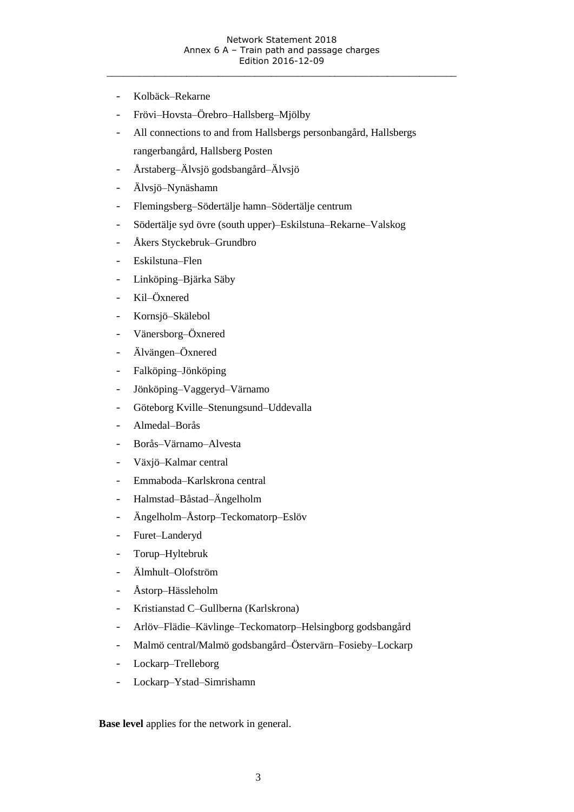- Kolbäck–Rekarne
- Frövi–Hovsta–Örebro–Hallsberg–Mjölby
- All connections to and from Hallsbergs personbangård, Hallsbergs rangerbangård, Hallsberg Posten
- Årstaberg–Älvsjö godsbangård–Älvsjö
- Älvsjö–Nynäshamn
- Flemingsberg–Södertälje hamn–Södertälje centrum
- Södertälje syd övre (south upper)–Eskilstuna–Rekarne–Valskog
- Åkers Styckebruk–Grundbro
- Eskilstuna–Flen
- Linköping–Bjärka Säby
- Kil–Öxnered
- Kornsjö–Skälebol
- Vänersborg–Öxnered
- Älvängen–Öxnered
- Falköping–Jönköping
- Jönköping–Vaggeryd–Värnamo
- Göteborg Kville–Stenungsund–Uddevalla
- Almedal–Borås
- Borås–Värnamo–Alvesta
- Växjö–Kalmar central
- Emmaboda–Karlskrona central
- Halmstad–Båstad–Ängelholm
- Ängelholm–Åstorp–Teckomatorp–Eslöv
- Furet–Landeryd
- Torup–Hyltebruk
- Älmhult–Olofström
- Åstorp–Hässleholm
- Kristianstad C–Gullberna (Karlskrona)
- Arlöv–Flädie–Kävlinge–Teckomatorp–Helsingborg godsbangård
- Malmö central/Malmö godsbangård–Östervärn–Fosieby–Lockarp
- Lockarp–Trelleborg
- Lockarp–Ystad–Simrishamn

**Base level** applies for the network in general.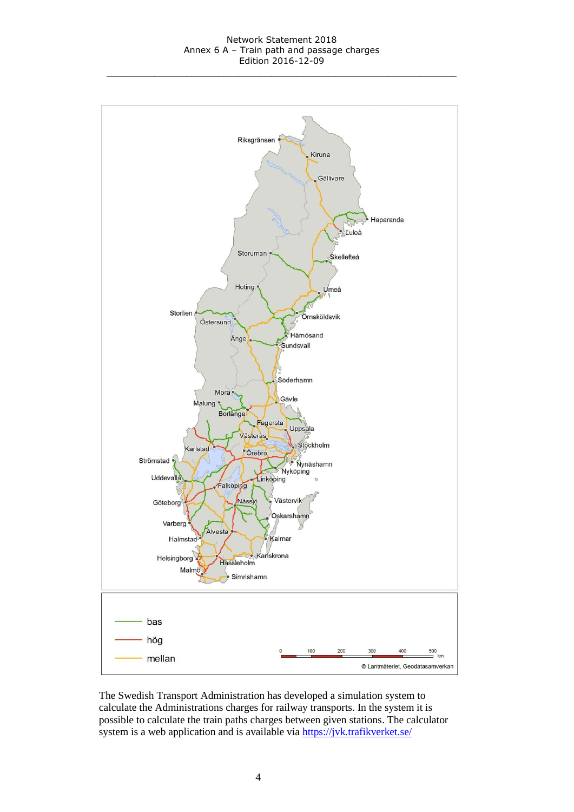

The Swedish Transport Administration has developed a simulation system to calculate the Administrations charges for railway transports. In the system it is possible to calculate the train paths charges between given stations. The calculator system is a web application and is available via <https://jvk.trafikverket.se/>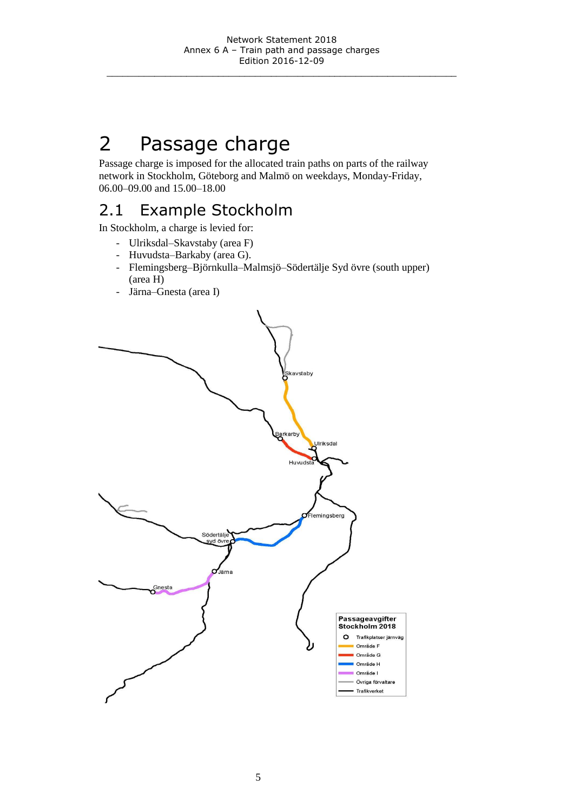# 2 Passage charge

Passage charge is imposed for the allocated train paths on parts of the railway network in Stockholm, Göteborg and Malmö on weekdays, Monday-Friday, 06.00–09.00 and 15.00–18.00

# 2.1 Example Stockholm

In Stockholm, a charge is levied for:

- Ulriksdal–Skavstaby (area F)
- Huvudsta–Barkaby (area G).
- Flemingsberg–Björnkulla–Malmsjö–Södertälje Syd övre (south upper) (area H)
- Järna–Gnesta (area I)

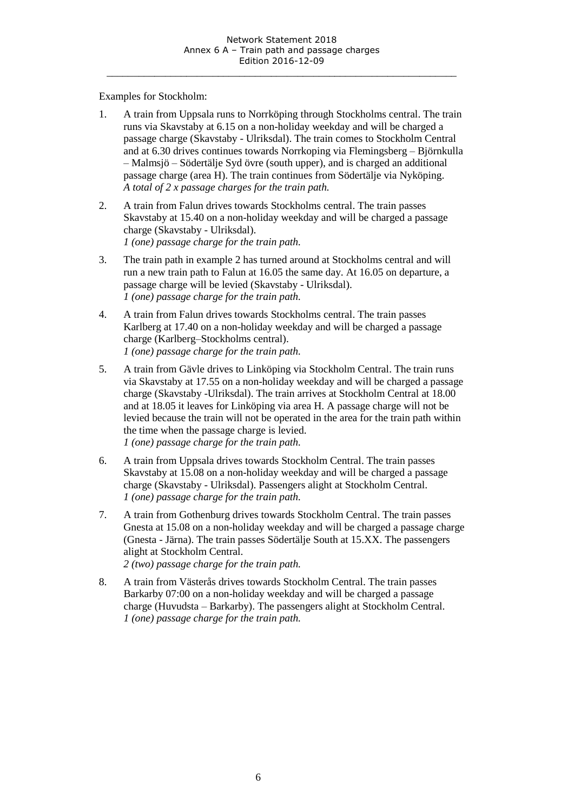Examples for Stockholm:

- 1. A train from Uppsala runs to Norrköping through Stockholms central. The train runs via Skavstaby at 6.15 on a non-holiday weekday and will be charged a passage charge (Skavstaby - Ulriksdal). The train comes to Stockholm Central and at 6.30 drives continues towards Norrkoping via Flemingsberg – Björnkulla – Malmsjö – Södertälje Syd övre (south upper), and is charged an additional passage charge (area H). The train continues from Södertälje via Nyköping. *A total of 2 x passage charges for the train path.*
- 2. A train from Falun drives towards Stockholms central. The train passes Skavstaby at 15.40 on a non-holiday weekday and will be charged a passage charge (Skavstaby - Ulriksdal). *1 (one) passage charge for the train path.*
- 3. The train path in example 2 has turned around at Stockholms central and will run a new train path to Falun at 16.05 the same day. At 16.05 on departure, a passage charge will be levied (Skavstaby - Ulriksdal). *1 (one) passage charge for the train path.*
- 4. A train from Falun drives towards Stockholms central. The train passes Karlberg at 17.40 on a non-holiday weekday and will be charged a passage charge (Karlberg–Stockholms central). *1 (one) passage charge for the train path.*
- 5. A train from Gävle drives to Linköping via Stockholm Central. The train runs via Skavstaby at 17.55 on a non-holiday weekday and will be charged a passage charge (Skavstaby -Ulriksdal). The train arrives at Stockholm Central at 18.00 and at 18.05 it leaves for Linköping via area H. A passage charge will not be levied because the train will not be operated in the area for the train path within the time when the passage charge is levied. *1 (one) passage charge for the train path.*
- 6. A train from Uppsala drives towards Stockholm Central. The train passes Skavstaby at 15.08 on a non-holiday weekday and will be charged a passage charge (Skavstaby - Ulriksdal). Passengers alight at Stockholm Central. *1 (one) passage charge for the train path.*
- 7. A train from Gothenburg drives towards Stockholm Central. The train passes Gnesta at 15.08 on a non-holiday weekday and will be charged a passage charge (Gnesta - Järna). The train passes Södertälje South at 15.XX. The passengers alight at Stockholm Central. *2 (two) passage charge for the train path.*
- 8. A train from Västerås drives towards Stockholm Central. The train passes Barkarby 07:00 on a non-holiday weekday and will be charged a passage charge (Huvudsta – Barkarby). The passengers alight at Stockholm Central. *1 (one) passage charge for the train path.*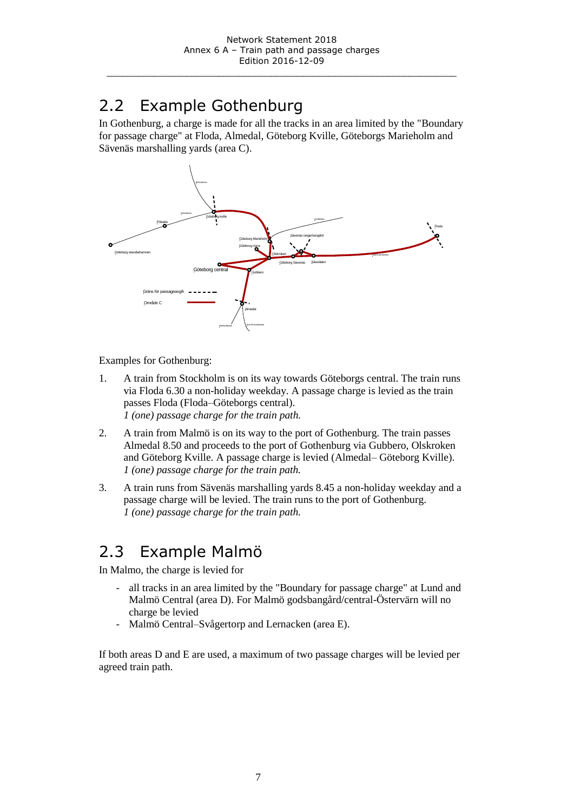# 2.2 Example Gothenburg

In Gothenburg, a charge is made for all the tracks in an area limited by the "Boundary for passage charge" at Floda, Almedal, Göteborg Kville, Göteborgs Marieholm and Sävenäs marshalling yards (area C).



Examples for Gothenburg:

- 1. A train from Stockholm is on its way towards Göteborgs central. The train runs via Floda 6.30 a non-holiday weekday. A passage charge is levied as the train passes Floda (Floda–Göteborgs central). *1 (one) passage charge for the train path.*
- 2. A train from Malmö is on its way to the port of Gothenburg. The train passes Almedal 8.50 and proceeds to the port of Gothenburg via Gubbero, Olskroken and Göteborg Kville. A passage charge is levied (Almedal– Göteborg Kville). *1 (one) passage charge for the train path.*
- 3. A train runs from Sävenäs marshalling yards 8.45 a non-holiday weekday and a passage charge will be levied. The train runs to the port of Gothenburg. *1 (one) passage charge for the train path.*

### 2.3 Example Malmö

In Malmo, the charge is levied for

- all tracks in an area limited by the "Boundary for passage charge" at Lund and Malmö Central (area D). For Malmö godsbangård/central-Östervärn will no charge be levied
- Malmö Central–Svågertorp and Lernacken (area E).

If both areas D and E are used, a maximum of two passage charges will be levied per agreed train path.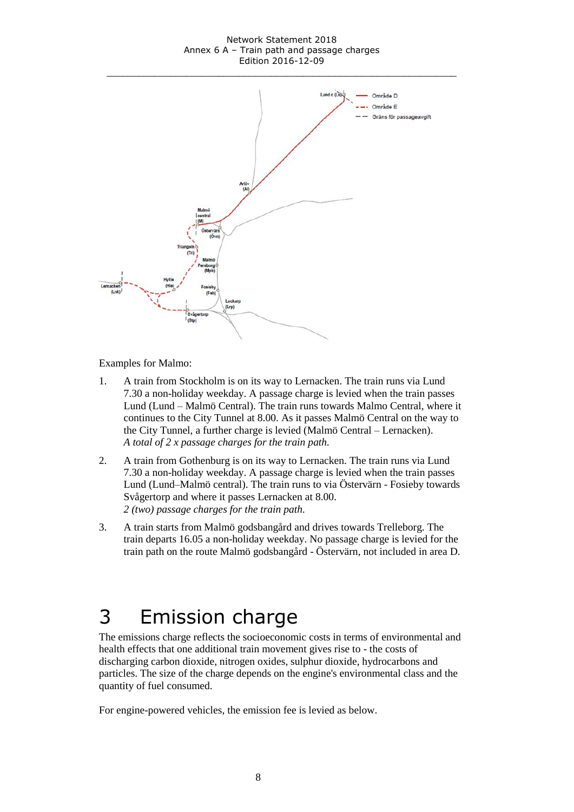#### Network Statement 2018 Annex 6 A – Train path and passage charges Edition 2016-12-09



Examples for Malmo:

- 1. A train from Stockholm is on its way to Lernacken. The train runs via Lund 7.30 a non-holiday weekday. A passage charge is levied when the train passes Lund (Lund – Malmö Central). The train runs towards Malmo Central, where it continues to the City Tunnel at 8.00. As it passes Malmö Central on the way to the City Tunnel, a further charge is levied (Malmö Central – Lernacken). *A total of 2 x passage charges for the train path.*
- 2. A train from Gothenburg is on its way to Lernacken. The train runs via Lund 7.30 a non-holiday weekday. A passage charge is levied when the train passes Lund (Lund–Malmö central). The train runs to via Östervärn - Fosieby towards Svågertorp and where it passes Lernacken at 8.00. *2 (two) passage charges for the train path.*
- 3. A train starts from Malmö godsbangård and drives towards Trelleborg. The train departs 16.05 a non-holiday weekday. No passage charge is levied for the train path on the route Malmö godsbangård - Östervärn, not included in area D.

# 3 Emission charge

The emissions charge reflects the socioeconomic costs in terms of environmental and health effects that one additional train movement gives rise to - the costs of discharging carbon dioxide, nitrogen oxides, sulphur dioxide, hydrocarbons and particles. The size of the charge depends on the engine's environmental class and the quantity of fuel consumed.

For engine-powered vehicles, the emission fee is levied as below.